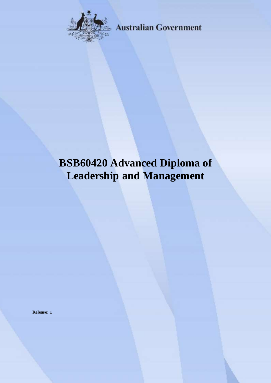

**Australian Government** 

# **BSB60420 Advanced Diploma of Leadership and Management**

**Release: 1**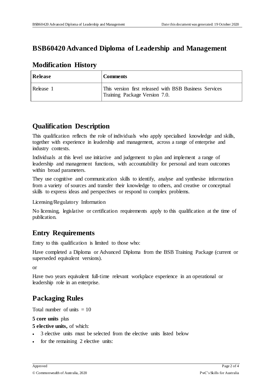#### **BSB60420 Advanced Diploma of Leadership and Management**

#### **Modification History**

| <b>Release</b> | <b>Comments</b>                                                                         |
|----------------|-----------------------------------------------------------------------------------------|
| Release 1      | This version first released with BSB Business Services<br>Training Package Version 7.0. |

### **Qualification Description**

This qualification reflects the role of individuals who apply specialised knowledge and skills, together with experience in leadership and management, across a range of enterprise and industry contexts.

Individuals at this level use initiative and judgement to plan and implement a range of leadership and management functions, with accountability for personal and team outcomes within broad parameters.

They use cognitive and communication skills to identify, analyse and synthesise information from a variety of sources and transfer their knowledge to others, and creative or conceptual skills to express ideas and perspectives or respond to complex problems.

Licensing/Regulatory Information

No licensing, legislative or certification requirements apply to this qualification at the time of publication.

# **Entry Requirements**

Entry to this qualification is limited to those who:

Have completed a Diploma or Advanced Diploma from the BSB Training Package (current or superseded equivalent versions).

or

Have two years equivalent full-time relevant workplace experience in an operational or leadership role in an enterprise.

# **Packaging Rules**

Total number of units  $= 10$ 

#### **5 core units** plus

- **5 elective units,** of which:
- 3 elective units must be selected from the elective units listed below
- for the remaining 2 elective units: